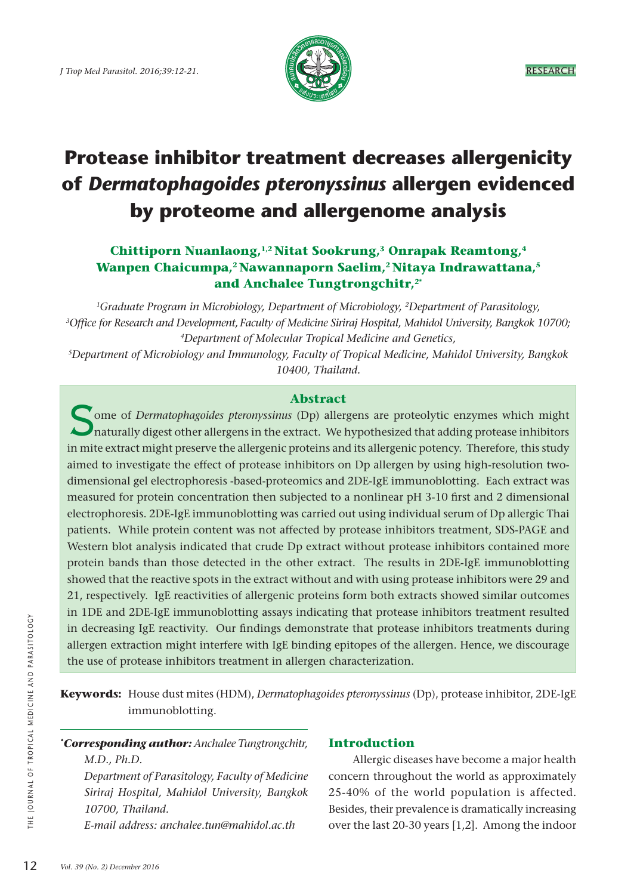

# **Protease inhibitor treatment decreases allergenicity of** *Dermatophagoides pteronyssinus* **allergen evidenced by proteome and allergenome analysis**

# **Chittiporn Nuanlaong,1,2 Nitat Sookrung,3 Onrapak Reamtong,4** Wanpen Chaicumpa,<sup>2</sup> Nawannaporn Saelim,<sup>2</sup> Nitaya Indrawattana,<sup>5</sup> **and Anchalee Tungtrongchitr,2\***

*1Graduate Program in Microbiology, Department of Microbiology, 2Department of Parasitology, 3 Office for Research and Development, Faculty of Medicine Siriraj Hospital, Mahidol University, Bangkok 10700; 4Department of Molecular Tropical Medicine and Genetics,* 

*5Department of Microbiology and Immunology, Faculty of Tropical Medicine, Mahidol University, Bangkok 10400, Thailand.* 

## **Abstract**

S<sub>i</sub> ome of *Dermatophagoides pteronyssinus* (Dp) allergens are proteolytic enzymes which might naturally digest other allergens in the extract. We hypothesized that adding protease inhibitors in mite extract might preserve the allergenic proteins and its allergenic potency. Therefore, this study aimed to investigate the effect of protease inhibitors on Dp allergen by using high-resolution twodimensional gel electrophoresis -based-proteomics and 2DE-IgE immunoblotting.Each extract was measured for protein concentration then subjected to a nonlinear pH 3-10 first and 2 dimensional electrophoresis. 2DE-IgE immunoblotting was carried out using individual serum of Dp allergic Thai patients. While protein content was not affected by protease inhibitors treatment, SDS-PAGE and Western blot analysis indicated that crude Dp extract without protease inhibitors contained more protein bands than those detected in the other extract. The results in 2DE-IgE immunoblotting showed that the reactive spots in the extract without and with using protease inhibitors were 29 and 21, respectively. IgE reactivities of allergenic proteins form both extracts showed similar outcomes in 1DE and 2DE-IgE immunoblotting assays indicating that protease inhibitors treatment resulted in decreasing IgE reactivity. Our findings demonstrate that protease inhibitors treatments during allergen extraction might interfere with IgE binding epitopes of the allergen. Hence, we discourage the use of protease inhibitors treatment in allergen characterization.

**Keywords:** House dust mites (HDM), *Dermatophagoides pteronyssinus* (Dp), protease inhibitor, 2DE-IgE immunoblotting.

*\* Corresponding author: Anchalee Tungtrongchitr, M.D., Ph.D.*

*Department of Parasitology, Faculty of Medicine Siriraj Hospital, Mahidol University, Bangkok 10700, Thailand.*

*E-mail address: anchalee.tun@mahidol.ac.th*

## **Introduction**

Allergic diseases have become a major health concern throughout the world as approximately 25-40% of the world population is affected. Besides, their prevalence is dramatically increasing over the last 20-30 years [1,2]. Among the indoor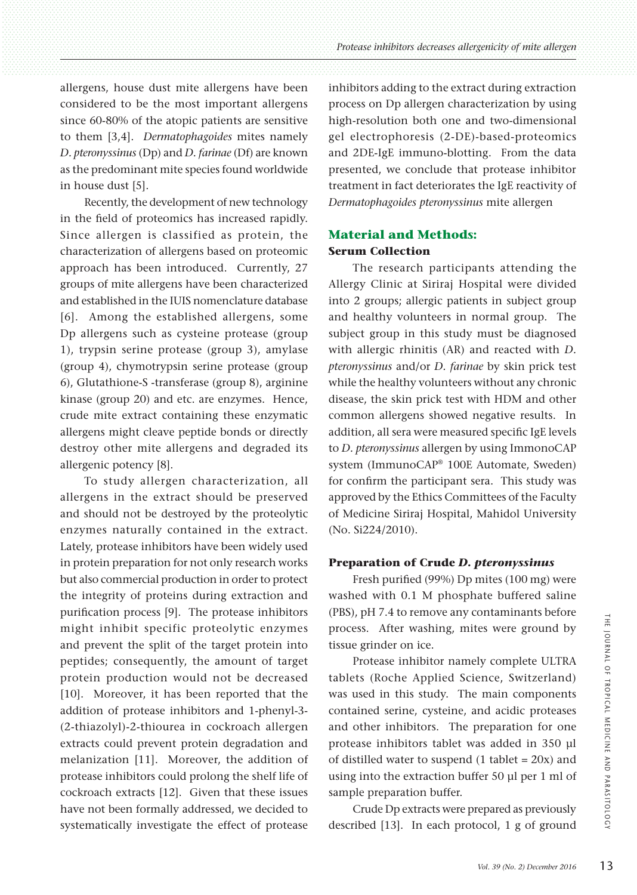allergens, house dust mite allergens have been considered to be the most important allergens since 60-80% of the atopic patients are sensitive to them [3,4]. *Dermatophagoides* mites namely *D. pteronyssinus* (Dp) and *D. farinae* (Df) are known as the predominant mite species found worldwide in house dust [5].

Recently, the development of new technology in the field of proteomics has increased rapidly. Since allergen is classified as protein, the characterization of allergens based on proteomic approach has been introduced. Currently, 27 groups of mite allergens have been characterized and established in the IUIS nomenclature database [6]. Among the established allergens, some Dp allergens such as cysteine protease (group 1), trypsin serine protease (group 3), amylase (group 4), chymotrypsin serine protease (group 6), Glutathione-S -transferase (group 8), arginine kinase (group 20) and etc. are enzymes. Hence, crude mite extract containing these enzymatic allergens might cleave peptide bonds or directly destroy other mite allergens and degraded its allergenic potency [8].

To study allergen characterization, all allergens in the extract should be preserved and should not be destroyed by the proteolytic enzymes naturally contained in the extract. Lately, protease inhibitors have been widely used in protein preparation for not only research works but also commercial production in order to protect the integrity of proteins during extraction and purification process [9]. The protease inhibitors might inhibit specific proteolytic enzymes and prevent the split of the target protein into peptides; consequently, the amount of target protein production would not be decreased [10]. Moreover, it has been reported that the addition of protease inhibitors and 1-phenyl-3- (2-thiazolyl)-2-thiourea in cockroach allergen extracts could prevent protein degradation and melanization [11]. Moreover, the addition of protease inhibitors could prolong the shelf life of cockroach extracts [12]. Given that these issues have not been formally addressed, we decided to systematically investigate the effect of protease inhibitors adding to the extract during extraction process on Dp allergen characterization by using high-resolution both one and two-dimensional gel electrophoresis (2-DE)-based-proteomics and 2DE-IgE immuno-blotting. From the data presented, we conclude that protease inhibitor treatment in fact deteriorates the IgE reactivity of *Dermatophagoides pteronyssinus* mite allergen

# **Material and Methods: Serum Collection**

The research participants attending the Allergy Clinic at Siriraj Hospital were divided into 2 groups; allergic patients in subject group and healthy volunteers in normal group. The subject group in this study must be diagnosed with allergic rhinitis (AR) and reacted with *D. pteronyssinus* and/or *D. farinae* by skin prick test while the healthy volunteers without any chronic disease, the skin prick test with HDM and other common allergens showed negative results. In addition, all sera were measured specific IgE levels to *D. pteronyssinus* allergen by using ImmonoCAP system (ImmunoCAP® 100E Automate, Sweden) for confirm the participant sera. This study was approved by the Ethics Committees of the Faculty of Medicine Siriraj Hospital, Mahidol University (No. Si224/2010).

## **Preparation of Crude** *D. pteronyssinus*

Fresh purified (99%) Dp mites (100 mg) were washed with 0.1 M phosphate buffered saline (PBS), pH 7.4 to remove any contaminants before process. After washing, mites were ground by tissue grinder on ice.

Protease inhibitor namely complete ULTRA tablets (Roche Applied Science, Switzerland) was used in this study. The main components contained serine, cysteine, and acidic proteases and other inhibitors. The preparation for one protease inhibitors tablet was added in 350 µl of distilled water to suspend  $(1$  tablet =  $20x$ ) and using into the extraction buffer 50 µl per 1 ml of sample preparation buffer.

Crude Dp extracts were prepared as previously described [13]. In each protocol, 1 g of ground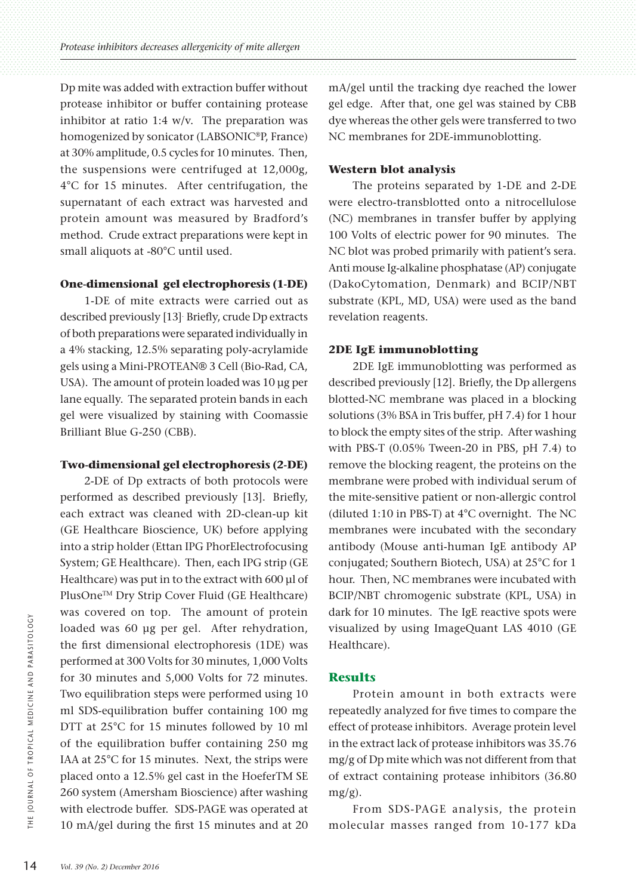Dp mite was added with extraction buffer without protease inhibitor or buffer containing protease inhibitor at ratio 1:4 w/v. The preparation was homogenized by sonicator (LABSONIC®P, France) at 30% amplitude, 0.5 cycles for 10 minutes. Then, the suspensions were centrifuged at 12,000g, 4°C for 15 minutes. After centrifugation, the supernatant of each extract was harvested and protein amount was measured by Bradford's method. Crude extract preparations were kept in small aliquots at -80°C until used.

#### **One-dimensional gel electrophoresis (1-DE)**

1-DE of mite extracts were carried out as described previously [13]. Briefly, crude Dp extracts of both preparations were separated individually in a 4% stacking, 12.5% separating poly-acrylamide gels using a Mini-PROTEAN® 3 Cell (Bio-Rad, CA, USA). The amount of protein loaded was 10 µg per lane equally. The separated protein bands in each gel were visualized by staining with Coomassie Brilliant Blue G-250 (CBB).

#### **Two-dimensional gel electrophoresis (2-DE)**

2-DE of Dp extracts of both protocols were performed as described previously [13]. Briefly, each extract was cleaned with 2D-clean-up kit (GE Healthcare Bioscience, UK) before applying into a strip holder (Ettan IPG PhorElectrofocusing System; GE Healthcare). Then, each IPG strip (GE Healthcare) was put in to the extract with 600 µl of PlusOne™ Dry Strip Cover Fluid (GE Healthcare) was covered on top. The amount of protein loaded was 60 µg per gel. After rehydration, the first dimensional electrophoresis (1DE) was performed at 300 Volts for 30 minutes, 1,000 Volts for 30 minutes and 5,000 Volts for 72 minutes. Two equilibration steps were performed using 10 ml SDS-equilibration buffer containing 100 mg DTT at 25°C for 15 minutes followed by 10 ml of the equilibration buffer containing 250 mg IAA at 25°C for 15 minutes. Next, the strips were placed onto a 12.5% gel cast in the HoeferTM SE 260 system (Amersham Bioscience) after washing with electrode buffer. SDS-PAGE was operated at 10 mA/gel during the first 15 minutes and at 20 mA/gel until the tracking dye reached the lower gel edge. After that, one gel was stained by CBB dye whereas the other gels were transferred to two NC membranes for 2DE-immunoblotting.

#### **Western blot analysis**

The proteins separated by 1-DE and 2-DE were electro-transblotted onto a nitrocellulose (NC) membranes in transfer buffer by applying 100 Volts of electric power for 90 minutes. The NC blot was probed primarily with patient's sera. Anti mouse Ig-alkaline phosphatase (AP) conjugate (DakoCytomation, Denmark) and BCIP/NBT substrate (KPL, MD, USA) were used as the band revelation reagents.

#### **2DE IgE immunoblotting**

2DE IgE immunoblotting was performed as described previously [12]. Briefly, the Dp allergens blotted-NC membrane was placed in a blocking solutions (3% BSA in Tris buffer, pH 7.4) for 1 hour to block the empty sites of the strip. After washing with PBS-T (0.05% Tween-20 in PBS, pH 7.4) to remove the blocking reagent, the proteins on the membrane were probed with individual serum of the mite-sensitive patient or non-allergic control (diluted 1:10 in PBS-T) at 4°C overnight. The NC membranes were incubated with the secondary antibody (Mouse anti-human IgE antibody AP conjugated; Southern Biotech, USA) at 25°C for 1 hour. Then, NC membranes were incubated with BCIP/NBT chromogenic substrate (KPL, USA) in dark for 10 minutes. The IgE reactive spots were visualized by using ImageQuant LAS 4010 (GE Healthcare).

#### **Results**

Protein amount in both extracts were repeatedly analyzed for five times to compare the effect of protease inhibitors. Average protein level in the extract lack of protease inhibitors was 35.76 mg/g of Dp mite which was not different from that of extract containing protease inhibitors (36.80 mg/g).

From SDS-PAGE analysis, the protein molecular masses ranged from 10-177 kDa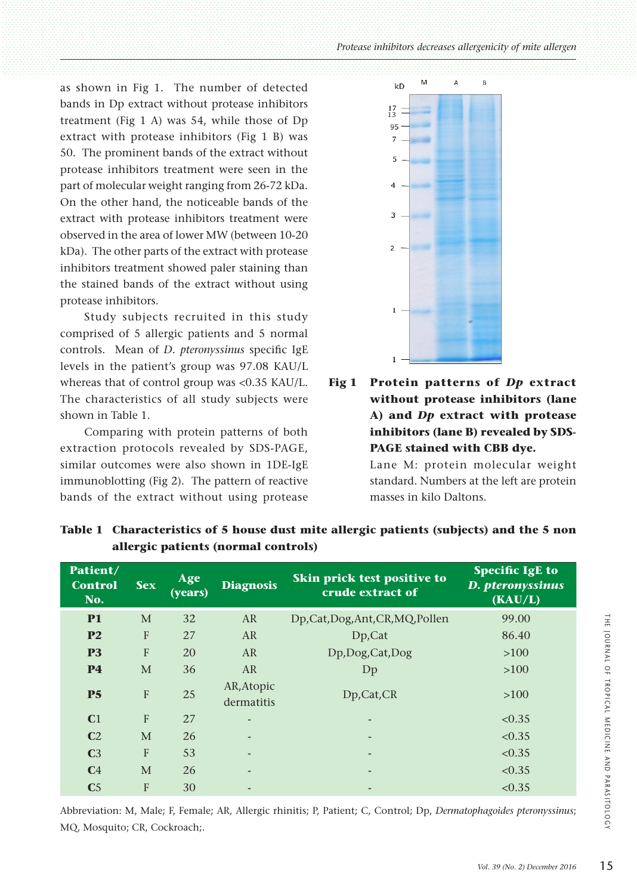as shown in Fig 1. The number of detected bands in Dp extract without protease inhibitors treatment (Fig 1 A) was 54, while those of Dp extract with protease inhibitors (Fig 1 B) was 50. The prominent bands of the extract without protease inhibitors treatment were seen in the part of molecular weight ranging from 26-72 kDa. On the other hand, the noticeable bands of the extract with protease inhibitors treatment were observed in the area of lower MW (between 10-20 kDa). The other parts of the extract with protease inhibitors treatment showed paler staining than the stained bands of the extract without using protease inhibitors.

Study subjects recruited in this study comprised of 5 allergic patients and 5 normal controls. Mean of *D. pteronyssinus* specific IgE levels in the patient's group was 97.08 KAU/L whereas that of control group was <0.35 KAU/L. The characteristics of all study subjects were shown in Table 1.

Comparing with protein patterns of both extraction protocols revealed by SDS-PAGE, similar outcomes were also shown in 1DE-IgE immunoblotting (Fig 2). The pattern of reactive bands of the extract without using protease



**Fig 1 Protein patterns of** *Dp* **extract without protease inhibitors (lane A) and** *Dp* **extract with protease inhibitors (lane B) revealed by SDS-PAGE stained with CBB dye.**  Lane M: protein molecular weight

standard. Numbers at the left are protein masses in kilo Daltons.

| Patient/<br><b>Control</b><br>No. | <b>Sex</b>   | Age<br>$\overline{(\text{years})}$ | <b>Diagnosis</b>         | Skin prick test positive to<br>crude extract of | <b>Specific IgE to</b><br>D. pteronyssinus<br>(KAU/L) |
|-----------------------------------|--------------|------------------------------------|--------------------------|-------------------------------------------------|-------------------------------------------------------|
| <b>P1</b>                         | M            | 32                                 | AR                       | Dp,Cat,Dog,Ant,CR,MQ,Pollen                     | 99.00                                                 |
| P <sub>2</sub>                    | $\mathbf{F}$ | 27                                 | AR                       | Dp,Cat                                          | 86.40                                                 |
| P <sub>3</sub>                    | F            | 20                                 | AR                       | Dp,Dog,Cat,Dog                                  | >100                                                  |
| <b>P4</b>                         | M            | 36                                 | AR                       | Dp                                              | >100                                                  |
| P <sub>5</sub>                    | $\mathbf{F}$ | 25                                 | AR, Atopic<br>dermatitis | Dp,Cat,CR                                       | >100                                                  |
| C <sub>1</sub>                    | $\mathbf{F}$ | 27                                 |                          |                                                 | < 0.35                                                |
| C <sub>2</sub>                    | M            | 26                                 |                          | $\overline{\phantom{0}}$                        | < 0.35                                                |
| C <sub>3</sub>                    | F            | 53                                 |                          |                                                 | < 0.35                                                |
| C <sub>4</sub>                    | M            | 26                                 |                          | $\overline{\phantom{0}}$                        | < 0.35                                                |
| C <sub>5</sub>                    | F            | 30                                 |                          |                                                 | < 0.35                                                |

**Table 1 Characteristics of 5 house dust mite allergic patients (subjects) and the 5 non allergic patients (normal controls)**

Abbreviation: M, Male; F, Female; AR, Allergic rhinitis; P, Patient; C, Control; Dp, *Dermatophagoides pteronyssinus*; MQ, Mosquito; CR, Cockroach;.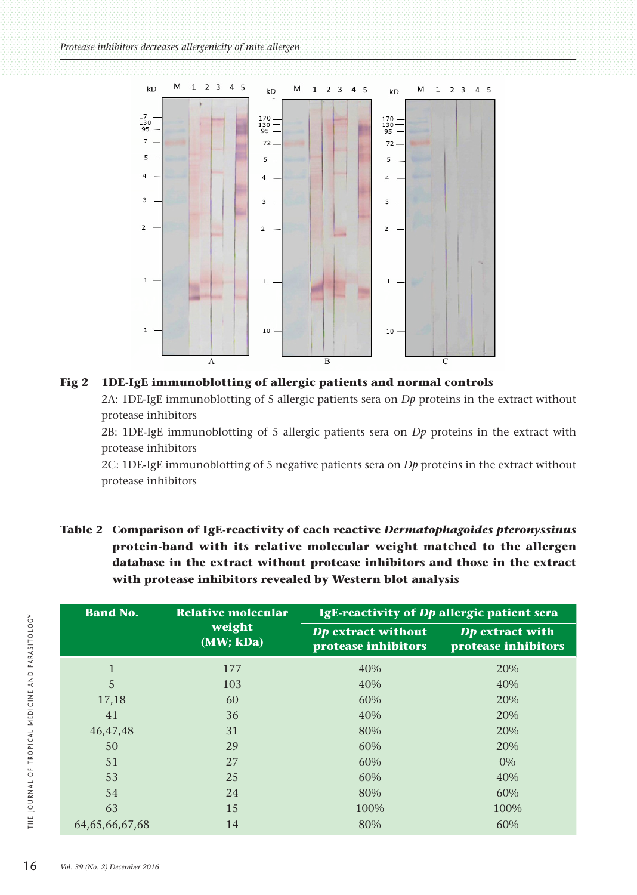



2B: 1DE-IgE immunoblotting of 5 allergic patients sera on *Dp* proteins in the extract with protease inhibitors

2C: 1DE-IgE immunoblotting of 5 negative patients sera on *Dp* proteins in the extract without protease inhibitors

| Table 2 Comparison of IgE-reactivity of each reactive Dermatophagoides pteronyssinus |
|--------------------------------------------------------------------------------------|
| protein-band with its relative molecular weight matched to the allergen              |
| database in the extract without protease inhibitors and those in the extract         |
| with protease inhibitors revealed by Western blot analysis                           |

| <b>Band No.</b> | <b>Relative molecular</b> | IgE-reactivity of Dp allergic patient sera       |                                        |
|-----------------|---------------------------|--------------------------------------------------|----------------------------------------|
|                 | weight<br>(MW; kDa)       | <b>Dp</b> extract without<br>protease inhibitors | Dp extract with<br>protease inhibitors |
| $\mathbf{1}$    | 177                       | 40%                                              | 20%                                    |
| 5               | 103                       | 40%                                              | 40%                                    |
| 17,18           | 60                        | 60%                                              | 20%                                    |
| 41              | 36                        | 40%                                              | 20%                                    |
| 46,47,48        | 31                        | 80%                                              | 20%                                    |
| 50              | 29                        | 60%                                              | 20%                                    |
| 51              | 27                        | 60%                                              | 0%                                     |
| 53              | 25                        | 60%                                              | 40%                                    |
| 54              | 24                        | 80%                                              | 60%                                    |
| 63              | 15                        | 100%                                             | 100%                                   |
| 64,65,66,67,68  | 14                        | 80%                                              | 60%                                    |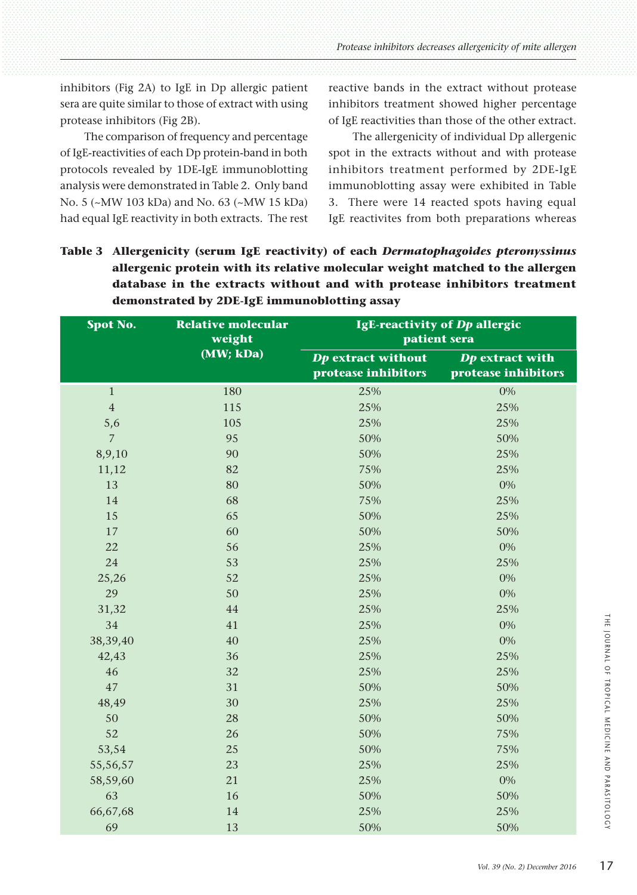inhibitors (Fig 2A) to IgE in Dp allergic patient sera are quite similar to those of extract with using protease inhibitors (Fig 2B).

The comparison of frequency and percentage of IgE-reactivities of each Dp protein-band in both protocols revealed by 1DE-IgE immunoblotting analysis were demonstrated in Table 2. Only band No. 5 (~MW 103 kDa) and No. 63 (~MW 15 kDa) had equal IgE reactivity in both extracts. The rest reactive bands in the extract without protease inhibitors treatment showed higher percentage of IgE reactivities than those of the other extract.

The allergenicity of individual Dp allergenic spot in the extracts without and with protease inhibitors treatment performed by 2DE-IgE immunoblotting assay were exhibited in Table 3. There were 14 reacted spots having equal IgE reactivites from both preparations whereas

| Table 3 Allergenicity (serum IgE reactivity) of each Dermatophagoides pteronyssinus |
|-------------------------------------------------------------------------------------|
| allergenic protein with its relative molecular weight matched to the allergen       |
| database in the extracts without and with protease inhibitors treatment             |
| demonstrated by 2DE-IgE immunoblotting assay                                        |

| Spot No.       | <b>Relative molecular</b><br>weight | IgE-reactivity of Dp allergic<br>patient sera    |                                        |
|----------------|-------------------------------------|--------------------------------------------------|----------------------------------------|
|                | (MW; kDa)                           | <b>Dp</b> extract without<br>protease inhibitors | Dp extract with<br>protease inhibitors |
| $\mathbf{1}$   | 180                                 | 25%                                              | $0\%$                                  |
| $\overline{4}$ | 115                                 | 25%                                              | 25%                                    |
| 5,6            | 105                                 | 25%                                              | 25%                                    |
| $\overline{7}$ | 95                                  | 50%                                              | 50%                                    |
| 8,9,10         | 90                                  | 50%                                              | 25%                                    |
| 11,12          | 82                                  | 75%                                              | 25%                                    |
| 13             | 80                                  | 50%                                              | $0\%$                                  |
| 14             | 68                                  | 75%                                              | 25%                                    |
| 15             | 65                                  | 50%                                              | 25%                                    |
| 17             | 60                                  | 50%                                              | 50%                                    |
| 22             | 56                                  | 25%                                              | 0%                                     |
| 24             | 53                                  | 25%                                              | 25%                                    |
| 25,26          | 52                                  | 25%                                              | 0%                                     |
| 29             | 50                                  | 25%                                              | 0%                                     |
| 31,32          | 44                                  | 25%                                              | 25%                                    |
| 34             | 41                                  | 25%                                              | 0%                                     |
| 38,39,40       | 40                                  | 25%                                              | 0%                                     |
| 42,43          | 36                                  | 25%                                              | 25%                                    |
| 46             | 32                                  | 25%                                              | 25%                                    |
| 47             | 31                                  | 50%                                              | 50%                                    |
| 48,49          | 30                                  | 25%                                              | 25%                                    |
| 50             | 28                                  | 50%                                              | 50%                                    |
| 52             | 26                                  | 50%                                              | 75%                                    |
| 53,54          | 25                                  | 50%                                              | 75%                                    |
| 55,56,57       | 23                                  | 25%                                              | 25%                                    |
| 58,59,60       | 21                                  | 25%                                              | 0%                                     |
| 63             | 16                                  | 50%                                              | 50%                                    |
| 66,67,68       | 14                                  | 25%                                              | 25%                                    |
| 69             | 13                                  | 50%                                              | 50%                                    |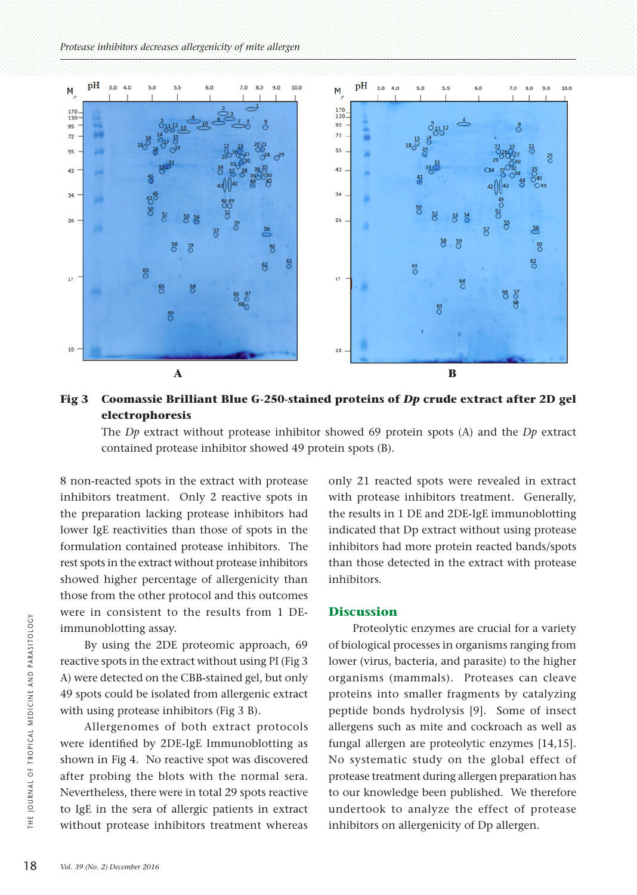

## **Fig 3 Coomassie Brilliant Blue G-250-stained proteins of** *Dp* **crude extract after 2D gel electrophoresis**

The *Dp* extract without protease inhibitor showed 69 protein spots (A) and the *Dp* extract contained protease inhibitor showed 49 protein spots (B).

8 non-reacted spots in the extract with protease inhibitors treatment. Only 2 reactive spots in the preparation lacking protease inhibitors had lower IgE reactivities than those of spots in the formulation contained protease inhibitors. The rest spots in the extract without protease inhibitors showed higher percentage of allergenicity than those from the other protocol and this outcomes were in consistent to the results from 1 DEimmunoblotting assay.

By using the 2DE proteomic approach, 69 reactive spots in the extract without using PI (Fig 3 A) were detected on the CBB-stained gel, but only 49 spots could be isolated from allergenic extract with using protease inhibitors (Fig 3 B).

Allergenomes of both extract protocols were identified by 2DE-IgE Immunoblotting as shown in Fig 4. No reactive spot was discovered after probing the blots with the normal sera. Nevertheless, there were in total 29 spots reactive to IgE in the sera of allergic patients in extract without protease inhibitors treatment whereas

only 21 reacted spots were revealed in extract with protease inhibitors treatment. Generally, the results in 1 DE and 2DE-IgE immunoblotting indicated that Dp extract without using protease inhibitors had more protein reacted bands/spots than those detected in the extract with protease inhibitors.

#### **Discussion**

Proteolytic enzymes are crucial for a variety of biological processes in organisms ranging from lower (virus, bacteria, and parasite) to the higher organisms (mammals). Proteases can cleave proteins into smaller fragments by catalyzing peptide bonds hydrolysis [9]. Some of insect allergens such as mite and cockroach as well as fungal allergen are proteolytic enzymes [14,15]. No systematic study on the global effect of protease treatment during allergen preparation has to our knowledge been published. We therefore undertook to analyze the effect of protease inhibitors on allergenicity of Dp allergen.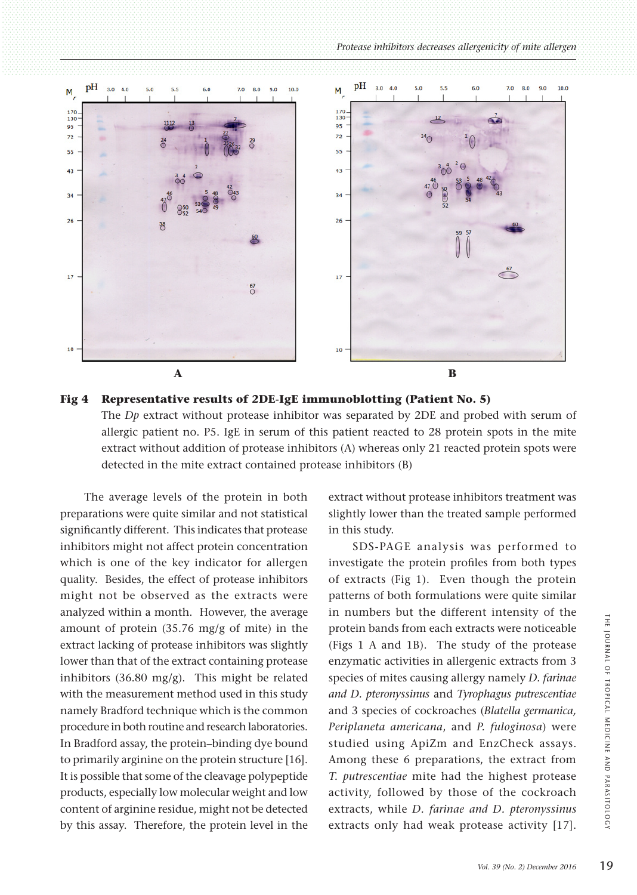



The average levels of the protein in both preparations were quite similar and not statistical significantly different. This indicates that protease inhibitors might not affect protein concentration which is one of the key indicator for allergen quality. Besides, the effect of protease inhibitors might not be observed as the extracts were analyzed within a month. However, the average amount of protein (35.76 mg/g of mite) in the extract lacking of protease inhibitors was slightly lower than that of the extract containing protease inhibitors (36.80 mg/g). This might be related with the measurement method used in this study namely Bradford technique which is the common procedure in both routine and research laboratories. In Bradford assay, the protein–binding dye bound to primarily arginine on the protein structure [16]. It is possible that some of the cleavage polypeptide products, especially low molecular weight and low content of arginine residue, might not be detected by this assay. Therefore, the protein level in the

extract without protease inhibitors treatment was slightly lower than the treated sample performed in this study.

SDS-PAGE analysis was performed to investigate the protein profiles from both types of extracts (Fig 1). Even though the protein patterns of both formulations were quite similar in numbers but the different intensity of the protein bands from each extracts were noticeable (Figs 1 A and 1B). The study of the protease enzymatic activities in allergenic extracts from 3 species of mites causing allergy namely *D. farinae and D. pteronyssinus* and *Tyrophagus putrescentiae* and 3 species of cockroaches (*Blatella germanica, Periplaneta americana*, and *P. fuloginosa*) were studied using ApiZm and EnzCheck assays. Among these 6 preparations, the extract from *T. putrescentiae* mite had the highest protease activity, followed by those of the cockroach extracts, while *D. farinae and D. pteronyssinus* extracts only had weak protease activity [17].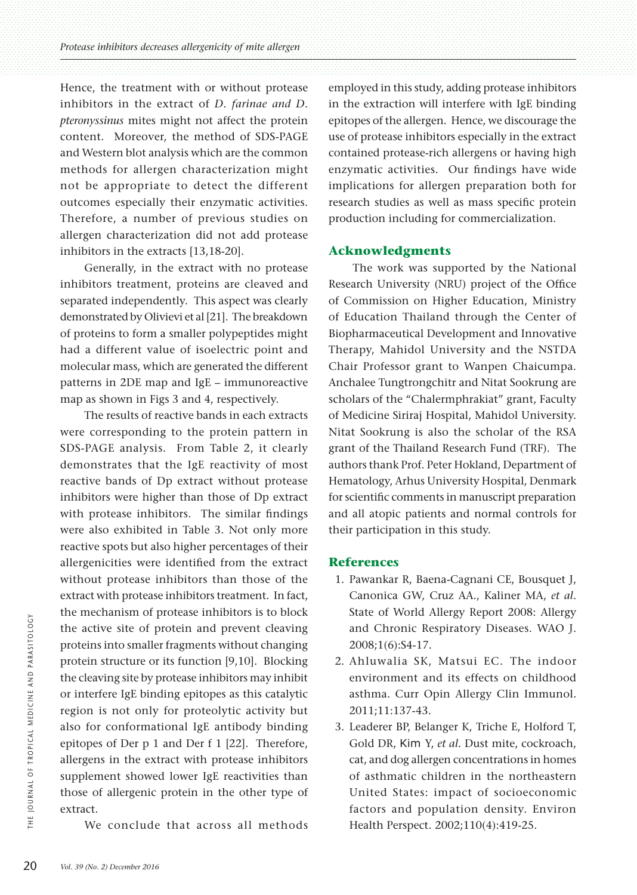Hence, the treatment with or without protease inhibitors in the extract of *D. farinae and D. pteronyssinus* mites might not affect the protein content. Moreover, the method of SDS-PAGE and Western blot analysis which are the common methods for allergen characterization might not be appropriate to detect the different outcomes especially their enzymatic activities. Therefore, a number of previous studies on allergen characterization did not add protease inhibitors in the extracts [13,18-20].

Generally, in the extract with no protease inhibitors treatment, proteins are cleaved and separated independently. This aspect was clearly demonstrated by Olivievi et al [21]. The breakdown of proteins to form a smaller polypeptides might had a different value of isoelectric point and molecular mass, which are generated the different patterns in 2DE map and IgE – immunoreactive map as shown in Figs 3 and 4, respectively.

The results of reactive bands in each extracts were corresponding to the protein pattern in SDS-PAGE analysis. From Table 2, it clearly demonstrates that the IgE reactivity of most reactive bands of Dp extract without protease inhibitors were higher than those of Dp extract with protease inhibitors. The similar findings were also exhibited in Table 3. Not only more reactive spots but also higher percentages of their allergenicities were identified from the extract without protease inhibitors than those of the extract with protease inhibitors treatment. In fact, the mechanism of protease inhibitors is to block the active site of protein and prevent cleaving proteins into smaller fragments without changing protein structure or its function [9,10]. Blocking the cleaving site by protease inhibitors may inhibit or interfere IgE binding epitopes as this catalytic region is not only for proteolytic activity but also for conformational IgE antibody binding epitopes of Der p 1 and Der f 1 [22]. Therefore, allergens in the extract with protease inhibitors supplement showed lower IgE reactivities than those of allergenic protein in the other type of extract.

We conclude that across all methods

employed in this study, adding protease inhibitors in the extraction will interfere with IgE binding epitopes of the allergen. Hence, we discourage the use of protease inhibitors especially in the extract contained protease-rich allergens or having high enzymatic activities. Our findings have wide implications for allergen preparation both for research studies as well as mass specific protein production including for commercialization.

#### **Acknowledgments**

The work was supported by the National Research University (NRU) project of the Office of Commission on Higher Education, Ministry of Education Thailand through the Center of Biopharmaceutical Development and Innovative Therapy, Mahidol University and the NSTDA Chair Professor grant to Wanpen Chaicumpa. Anchalee Tungtrongchitr and Nitat Sookrung are scholars of the "Chalermphrakiat" grant, Faculty of Medicine Siriraj Hospital, Mahidol University. Nitat Sookrung is also the scholar of the RSA grant of the Thailand Research Fund (TRF). The authors thank Prof. Peter Hokland, Department of Hematology, Arhus University Hospital, Denmark for scientific comments in manuscript preparation and all atopic patients and normal controls for their participation in this study.

## **References**

- 1. Pawankar R, Baena-Cagnani CE, Bousquet J, Canonica GW, Cruz AA., Kaliner MA, *et al*. State of World Allergy Report 2008: Allergy and Chronic Respiratory Diseases. WAO J. 2008;1(6):S4-17.
- 2. Ahluwalia SK, Matsui EC. The indoor environment and its effects on childhood asthma. Curr Opin Allergy Clin Immunol. 2011;11:137-43.
- 3. Leaderer BP, Belanger K, Triche E, Holford T, Gold DR, Kim Y, *et al.* Dust mite, cockroach, cat, and dog allergen concentrations in homes of asthmatic children in the northeastern United States: impact of socioeconomic factors and population density. Environ Health Perspect. 2002;110(4):419-25.